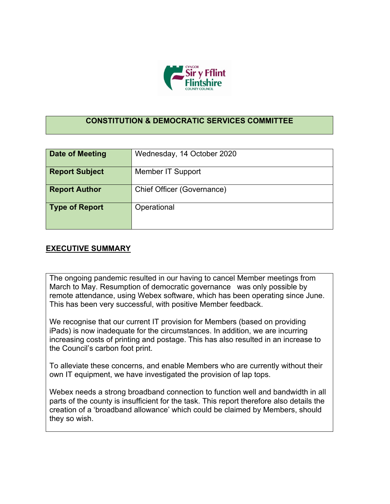

## **CONSTITUTION & DEMOCRATIC SERVICES COMMITTEE**

| <b>Date of Meeting</b> | Wednesday, 14 October 2020 |
|------------------------|----------------------------|
| <b>Report Subject</b>  | <b>Member IT Support</b>   |
| <b>Report Author</b>   | Chief Officer (Governance) |
| <b>Type of Report</b>  | Operational                |

## **EXECUTIVE SUMMARY**

The ongoing pandemic resulted in our having to cancel Member meetings from March to May. Resumption of democratic governance was only possible by remote attendance, using Webex software, which has been operating since June. This has been very successful, with positive Member feedback.

We recognise that our current IT provision for Members (based on providing iPads) is now inadequate for the circumstances. In addition, we are incurring increasing costs of printing and postage. This has also resulted in an increase to the Council's carbon foot print.

To alleviate these concerns, and enable Members who are currently without their own IT equipment, we have investigated the provision of lap tops.

Webex needs a strong broadband connection to function well and bandwidth in all parts of the county is insufficient for the task. This report therefore also details the creation of a 'broadband allowance' which could be claimed by Members, should they so wish.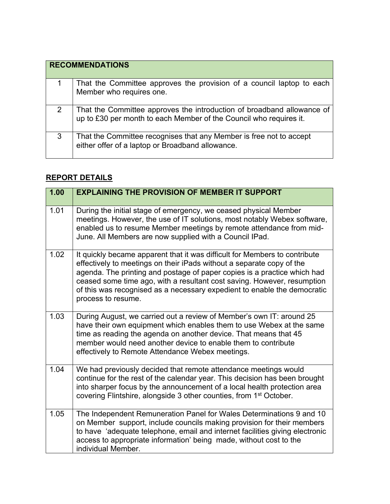|   | <b>RECOMMENDATIONS</b>                                                                                                                       |
|---|----------------------------------------------------------------------------------------------------------------------------------------------|
|   | That the Committee approves the provision of a council laptop to each<br>Member who requires one.                                            |
| 2 | That the Committee approves the introduction of broadband allowance of<br>up to £30 per month to each Member of the Council who requires it. |
| 3 | That the Committee recognises that any Member is free not to accept<br>either offer of a laptop or Broadband allowance.                      |

## **REPORT DETAILS**

| 1.00 | <b>EXPLAINING THE PROVISION OF MEMBER IT SUPPORT</b>                                                                                                                                                                                                                                                                                                                                                         |
|------|--------------------------------------------------------------------------------------------------------------------------------------------------------------------------------------------------------------------------------------------------------------------------------------------------------------------------------------------------------------------------------------------------------------|
| 1.01 | During the initial stage of emergency, we ceased physical Member<br>meetings. However, the use of IT solutions, most notably Webex software,<br>enabled us to resume Member meetings by remote attendance from mid-<br>June. All Members are now supplied with a Council IPad.                                                                                                                               |
| 1.02 | It quickly became apparent that it was difficult for Members to contribute<br>effectively to meetings on their iPads without a separate copy of the<br>agenda. The printing and postage of paper copies is a practice which had<br>ceased some time ago, with a resultant cost saving. However, resumption<br>of this was recognised as a necessary expedient to enable the democratic<br>process to resume. |
| 1.03 | During August, we carried out a review of Member's own IT: around 25<br>have their own equipment which enables them to use Webex at the same<br>time as reading the agenda on another device. That means that 45<br>member would need another device to enable them to contribute<br>effectively to Remote Attendance Webex meetings.                                                                        |
| 1.04 | We had previously decided that remote attendance meetings would<br>continue for the rest of the calendar year. This decision has been brought<br>into sharper focus by the announcement of a local health protection area<br>covering Flintshire, alongside 3 other counties, from 1 <sup>st</sup> October.                                                                                                  |
| 1.05 | The Independent Remuneration Panel for Wales Determinations 9 and 10<br>on Member support, include councils making provision for their members<br>to have 'adequate telephone, email and internet facilities giving electronic<br>access to appropriate information' being made, without cost to the<br>individual Member.                                                                                   |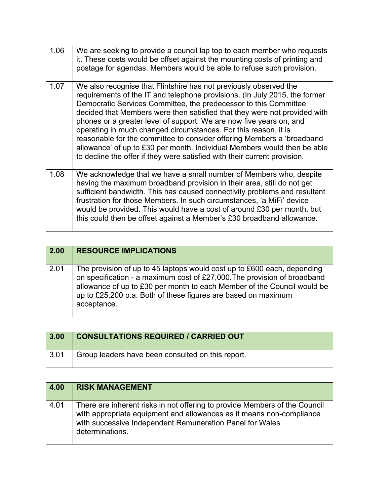| 1.06 | We are seeking to provide a council lap top to each member who requests<br>it. These costs would be offset against the mounting costs of printing and<br>postage for agendas. Members would be able to refuse such provision.                                                                                                                                                                                                                                                                                                                                                                                                                                                 |
|------|-------------------------------------------------------------------------------------------------------------------------------------------------------------------------------------------------------------------------------------------------------------------------------------------------------------------------------------------------------------------------------------------------------------------------------------------------------------------------------------------------------------------------------------------------------------------------------------------------------------------------------------------------------------------------------|
| 1.07 | We also recognise that Flintshire has not previously observed the<br>requirements of the IT and telephone provisions. (In July 2015, the former<br>Democratic Services Committee, the predecessor to this Committee<br>decided that Members were then satisfied that they were not provided with<br>phones or a greater level of support. We are now five years on, and<br>operating in much changed circumstances. For this reason, it is<br>reasonable for the committee to consider offering Members a 'broadband<br>allowance' of up to £30 per month. Individual Members would then be able<br>to decline the offer if they were satisfied with their current provision. |
| 1.08 | We acknowledge that we have a small number of Members who, despite<br>having the maximum broadband provision in their area, still do not get<br>sufficient bandwidth. This has caused connectivity problems and resultant<br>frustration for those Members. In such circumstances, 'a MiFi' device<br>would be provided. This would have a cost of around £30 per month, but<br>this could then be offset against a Member's £30 broadband allowance.                                                                                                                                                                                                                         |

| 2.00 | <b>RESOURCE IMPLICATIONS</b>                                                                                                                                                                                                                                                                                   |
|------|----------------------------------------------------------------------------------------------------------------------------------------------------------------------------------------------------------------------------------------------------------------------------------------------------------------|
| 2.01 | The provision of up to 45 laptops would cost up to £600 each, depending<br>on specification - a maximum cost of £27,000. The provision of broadband<br>allowance of up to £30 per month to each Member of the Council would be<br>up to £25,200 p.a. Both of these figures are based on maximum<br>acceptance. |

| 3.00 | <b>CONSULTATIONS REQUIRED / CARRIED OUT</b>       |
|------|---------------------------------------------------|
| 3.01 | Group leaders have been consulted on this report. |

| 4.00 | <b>RISK MANAGEMENT</b>                                                                                                                                                                                                            |
|------|-----------------------------------------------------------------------------------------------------------------------------------------------------------------------------------------------------------------------------------|
| 4.01 | There are inherent risks in not offering to provide Members of the Council<br>with appropriate equipment and allowances as it means non-compliance<br>with successive Independent Remuneration Panel for Wales<br>determinations. |